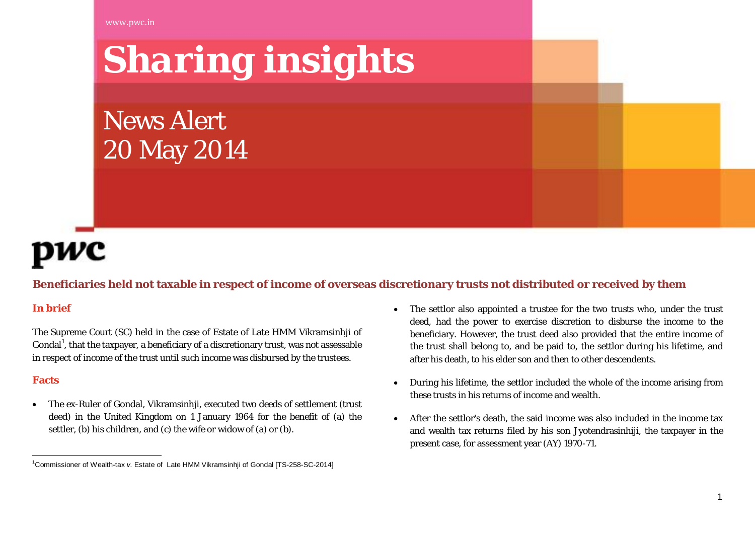<span id="page-0-0"></span>www.pwc.in

# *Sharing insights*

News Alert 20 May 2014



# **Beneficiaries held not taxable in respect of income of overseas discretionary trusts not distributed or received by them**

### **In brief**

The Supreme Court (SC) held in the case of Estate of Late HMM Vikramsinhji of Gondal $^{\rm l}$ , that the taxpayer, a beneficiary of a discretionary trust, was not assessable in respect of income of the trust until such income was disbursed by the trustees.

#### **Facts**

• The ex-Ruler of Gondal, Vikramsinhji, executed two deeds of settlement (trust deed) in the United Kingdom on 1 January 1964 for the benefit of (a) the settler, (b) his children, and (c) the wife or widow of (a) or (b).

- The settlor also appointed a trustee for the two trusts who, under the trust deed, had the power to exercise discretion to disburse the income to the beneficiary. However, the trust deed also provided that the entire income of the trust shall belong to, and be paid to, the settlor during his lifetime, and after his death, to his elder son and then to other descendents.
- During his lifetime, the settlor included the whole of the income arising from these trusts in his returns of income and wealth.
- After the settlor's death, the said income was also included in the income tax and wealth tax returns filed by his son Jyotendrasinhiji, the taxpayer in the present case, for assessment year (AY) 1970-71.

 $\frac{1}{1}$ <sup>1</sup> Commissioner of Wealth-tax *v*. Estate of Late HMM Vikramsinhii of Gondal ITS-258-SC-2014]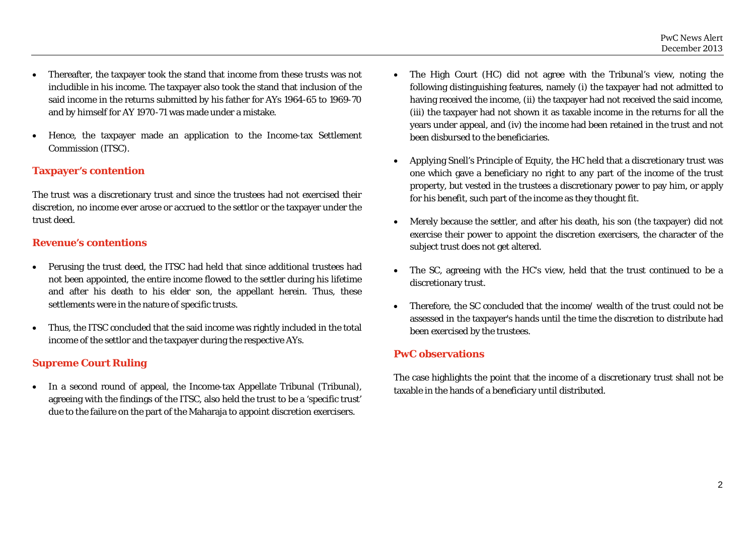- Thereafter, the taxpayer took the stand that income from these trusts was not includible in his income. The taxpayer also took the stand that inclusion of the said income in the returns submitted by his father for AYs 1964-65 to 1969-70 and by himself for AY 1970-71 was made under a mistake.
- Hence, the taxpayer made an application to the Income-tax Settlement Commission (ITSC).

#### **Taxpayer's contention**

The trust was a discretionary trust and since the trustees had not exercised their discretion, no income ever arose or accrued to the settlor or the taxpayer under the trust deed.

#### **Revenue's contentions**

- Perusing the trust deed, the ITSC had held that since additional trustees had not been appointed, the entire income flowed to the settler during his lifetime and after his death to his elder son, the appellant herein. Thus, these settlements were in the nature of specific trusts.
- Thus, the ITSC concluded that the said income was rightly included in the total income of the settlor and the taxpayer during the respective AYs.

### **Supreme Court Ruling**

• In a second round of appeal, the Income-tax Appellate Tribunal (Tribunal), agreeing with the findings of the ITSC, also held the trust to be a 'specific trust' due to the failure on the part of the Maharaja to appoint discretion exercisers.

- The High Court (HC) did not agree with the Tribunal's view, noting the following distinguishing features, namely (i) the taxpayer had not admitted to having received the income, (ii) the taxpayer had not received the said income, (iii) the taxpayer had not shown it as taxable income in the returns for all the years under appeal, and (iv) the income had been retained in the trust and not been disbursed to the beneficiaries.
- Applying Snell's Principle of Equity, the HC held that a discretionary trust was one which gave a beneficiary no right to any part of the income of the trust property, but vested in the trustees a discretionary power to pay him, or apply for his benefit, such part of the income as they thought fit.
- Merely because the settler, and after his death, his son (the taxpayer) did not exercise their power to appoint the discretion exercisers, the character of the subject trust does not get altered.
- The SC, agreeing with the HC's view, held that the trust continued to be a discretionary trust.
- Therefore, the SC concluded that the income/ wealth of the trust could not be assessed in the taxpayer's hands until the time the discretion to distribute had been exercised by the trustees.

#### **PwC observations**

The case highlights the point that the income of a discretionary trust shall not be taxable in the hands of a beneficiary until distributed.